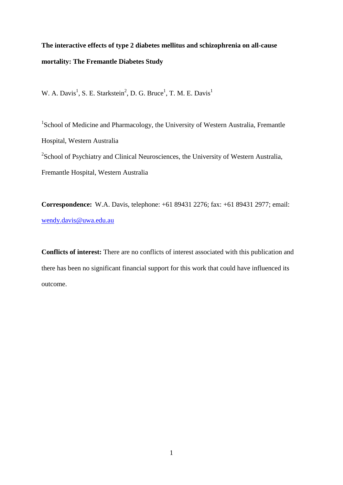# **The interactive effects of type 2 diabetes mellitus and schizophrenia on all-cause mortality: The Fremantle Diabetes Study**

W. A. Davis<sup>1</sup>, S. E. Starkstein<sup>2</sup>, D. G. Bruce<sup>1</sup>, T. M. E. Davis<sup>1</sup>

<sup>1</sup>School of Medicine and Pharmacology, the University of Western Australia, Fremantle Hospital, Western Australia <sup>2</sup>School of Psychiatry and Clinical Neurosciences, the University of Western Australia, Fremantle Hospital, Western Australia

**Correspondence:** W.A. Davis, telephone: +61 89431 2276; fax: +61 89431 2977; email: [wendy.davis@uwa.edu.au](mailto:wendy.davis@uwa.edu.au)

**Conflicts of interest:** There are no conflicts of interest associated with this publication and there has been no significant financial support for this work that could have influenced its outcome.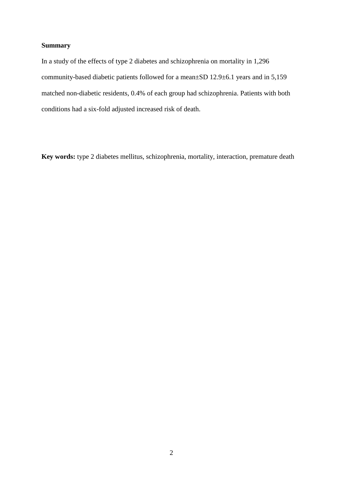# **Summary**

In a study of the effects of type 2 diabetes and schizophrenia on mortality in 1,296 community-based diabetic patients followed for a mean±SD 12.9±6.1 years and in 5,159 matched non-diabetic residents, 0.4% of each group had schizophrenia. Patients with both conditions had a six-fold adjusted increased risk of death.

**Key words:** type 2 diabetes mellitus, schizophrenia, mortality, interaction, premature death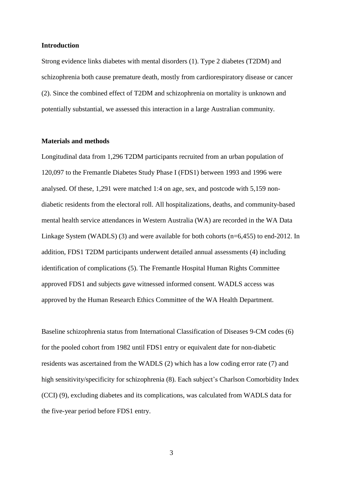#### **Introduction**

Strong evidence links diabetes with mental disorders [\(1\)](#page-7-0). Type 2 diabetes (T2DM) and schizophrenia both cause premature death, mostly from cardiorespiratory disease or cancer [\(2\)](#page-7-1). Since the combined effect of T2DM and schizophrenia on mortality is unknown and potentially substantial, we assessed this interaction in a large Australian community.

#### **Materials and methods**

Longitudinal data from 1,296 T2DM participants recruited from an urban population of 120,097 to the Fremantle Diabetes Study Phase I (FDS1) between 1993 and 1996 were analysed. Of these, 1,291 were matched 1:4 on age, sex, and postcode with 5,159 nondiabetic residents from the electoral roll. All hospitalizations, deaths, and community-based mental health service attendances in Western Australia (WA) are recorded in the WA Data Linkage System (WADLS) [\(3\)](#page-7-2) and were available for both cohorts (n=6,455) to end-2012. In addition, FDS1 T2DM participants underwent detailed annual assessments [\(4\)](#page-7-3) including identification of complications [\(5\)](#page-7-4). The Fremantle Hospital Human Rights Committee approved FDS1 and subjects gave witnessed informed consent. WADLS access was approved by the Human Research Ethics Committee of the WA Health Department.

Baseline schizophrenia status from International Classification of Diseases 9-CM codes [\(6\)](#page-7-5) for the pooled cohort from 1982 until FDS1 entry or equivalent date for non-diabetic residents was ascertained from the WADLS [\(2\)](#page-7-1) which has a low coding error rate [\(7\)](#page-7-6) and high sensitivity/specificity for schizophrenia [\(8\)](#page-7-7). Each subject's Charlson Comorbidity Index (CCI) [\(9\)](#page-7-8), excluding diabetes and its complications, was calculated from WADLS data for the five-year period before FDS1 entry.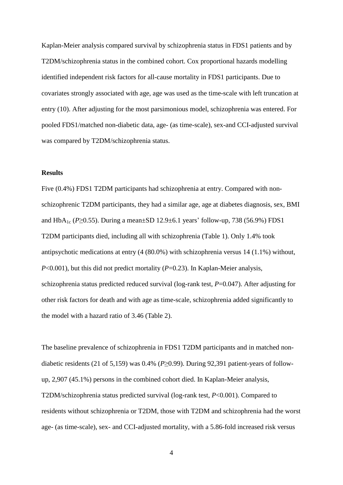Kaplan-Meier analysis compared survival by schizophrenia status in FDS1 patients and by T2DM/schizophrenia status in the combined cohort. Cox proportional hazards modelling identified independent risk factors for all-cause mortality in FDS1 participants. Due to covariates strongly associated with age, age was used as the time-scale with left truncation at entry [\(10\)](#page-7-9). After adjusting for the most parsimonious model, schizophrenia was entered. For pooled FDS1/matched non-diabetic data, age- (as time-scale), sex-and CCI-adjusted survival was compared by T2DM/schizophrenia status.

#### **Results**

Five (0.4%) FDS1 T2DM participants had schizophrenia at entry. Compared with nonschizophrenic T2DM participants, they had a similar age, age at diabetes diagnosis, sex, BMI and HbA1c (*P*≥0.55). During a mean±SD 12.9±6.1 years' follow-up, 738 (56.9%) FDS1 T2DM participants died, including all with schizophrenia (Table 1). Only 1.4% took antipsychotic medications at entry (4 (80.0%) with schizophrenia versus 14 (1.1%) without, *P*<0.001), but this did not predict mortality (*P*=0.23). In Kaplan-Meier analysis, schizophrenia status predicted reduced survival (log-rank test, *P*=0.047). After adjusting for other risk factors for death and with age as time-scale, schizophrenia added significantly to the model with a hazard ratio of 3.46 (Table 2).

The baseline prevalence of schizophrenia in FDS1 T2DM participants and in matched nondiabetic residents (21 of 5,159) was 0.4% (*P*≥0.99). During 92,391 patient-years of followup, 2,907 (45.1%) persons in the combined cohort died. In Kaplan-Meier analysis, T2DM/schizophrenia status predicted survival (log-rank test, *P*<0.001). Compared to residents without schizophrenia or T2DM, those with T2DM and schizophrenia had the worst age- (as time-scale), sex- and CCI-adjusted mortality, with a 5.86-fold increased risk versus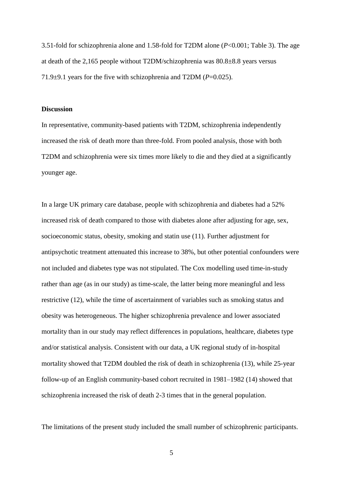3.51-fold for schizophrenia alone and 1.58-fold for T2DM alone (*P*<0.001; Table 3). The age at death of the 2,165 people without T2DM/schizophrenia was 80.8±8.8 years versus 71.9±9.1 years for the five with schizophrenia and T2DM (*P*=0.025).

#### **Discussion**

In representative, community-based patients with T2DM, schizophrenia independently increased the risk of death more than three-fold. From pooled analysis, those with both T2DM and schizophrenia were six times more likely to die and they died at a significantly younger age.

In a large UK primary care database, people with schizophrenia and diabetes had a 52% increased risk of death compared to those with diabetes alone after adjusting for age, sex, socioeconomic status, obesity, smoking and statin use [\(11\)](#page-7-10). Further adjustment for antipsychotic treatment attenuated this increase to 38%, but other potential confounders were not included and diabetes type was not stipulated. The Cox modelling used time-in-study rather than age (as in our study) as time-scale, the latter being more meaningful and less restrictive [\(12\)](#page-7-11), while the time of ascertainment of variables such as smoking status and obesity was heterogeneous. The higher schizophrenia prevalence and lower associated mortality than in our study may reflect differences in populations, healthcare, diabetes type and/or statistical analysis. Consistent with our data, a UK regional study of in-hospital mortality showed that T2DM doubled the risk of death in schizophrenia [\(13\)](#page-7-12), while 25-year follow-up of an English community-based cohort recruited in 1981–1982 [\(14\)](#page-7-13) showed that schizophrenia increased the risk of death 2-3 times that in the general population.

The limitations of the present study included the small number of schizophrenic participants.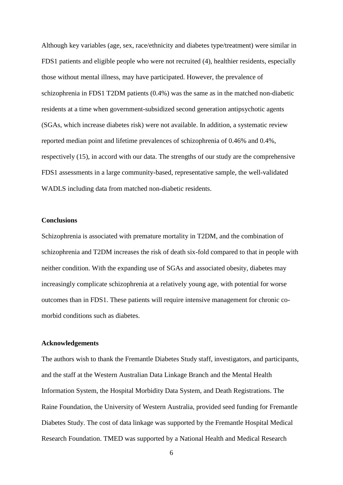Although key variables (age, sex, race/ethnicity and diabetes type/treatment) were similar in FDS1 patients and eligible people who were not recruited [\(4\)](#page-7-3), healthier residents, especially those without mental illness, may have participated. However, the prevalence of schizophrenia in FDS1 T2DM patients (0.4%) was the same as in the matched non-diabetic residents at a time when government-subsidized second generation antipsychotic agents (SGAs, which increase diabetes risk) were not available. In addition, a systematic review reported median point and lifetime prevalences of schizophrenia of 0.46% and 0.4%, respectively [\(15\)](#page-7-14), in accord with our data. The strengths of our study are the comprehensive FDS1 assessments in a large community-based, representative sample, the well-validated WADLS including data from matched non-diabetic residents.

## **Conclusions**

Schizophrenia is associated with premature mortality in T2DM, and the combination of schizophrenia and T2DM increases the risk of death six-fold compared to that in people with neither condition. With the expanding use of SGAs and associated obesity, diabetes may increasingly complicate schizophrenia at a relatively young age, with potential for worse outcomes than in FDS1. These patients will require intensive management for chronic comorbid conditions such as diabetes.

## **Acknowledgements**

The authors wish to thank the Fremantle Diabetes Study staff, investigators, and participants, and the staff at the Western Australian Data Linkage Branch and the Mental Health Information System, the Hospital Morbidity Data System, and Death Registrations. The Raine Foundation, the University of Western Australia, provided seed funding for Fremantle Diabetes Study. The cost of data linkage was supported by the Fremantle Hospital Medical Research Foundation. TMED was supported by a National Health and Medical Research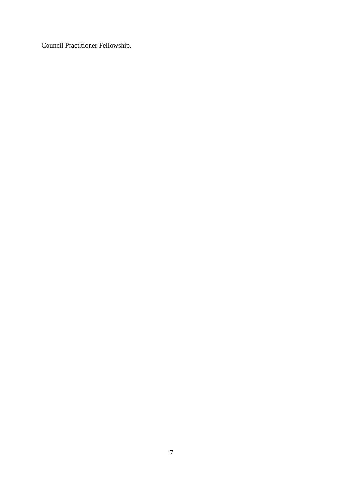Council Practitioner Fellowship.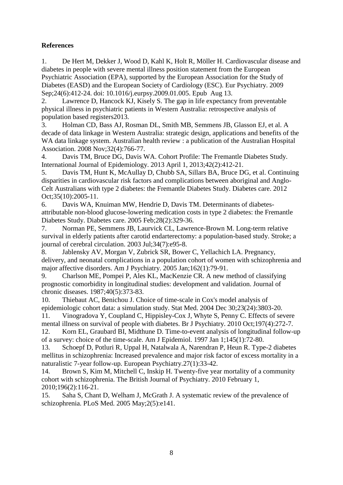# **References**

<span id="page-7-0"></span>1. De Hert M, Dekker J, Wood D, Kahl K, Holt R, Möller H. Cardiovascular disease and diabetes in people with severe mental illness position statement from the European Psychiatric Association (EPA), supported by the European Association for the Study of Diabetes (EASD) and the European Society of Cardiology (ESC). Eur Psychiatry. 2009 Sep;24(6):412-24. doi: 10.1016/j.eurpsy.2009.01.005. Epub Aug 13.

<span id="page-7-1"></span>2. Lawrence D, Hancock KJ, Kisely S. The gap in life expectancy from preventable physical illness in psychiatric patients in Western Australia: retrospective analysis of population based registers2013.

<span id="page-7-2"></span>3. Holman CD, Bass AJ, Rosman DL, Smith MB, Semmens JB, Glasson EJ, et al. A decade of data linkage in Western Australia: strategic design, applications and benefits of the WA data linkage system. Australian health review : a publication of the Australian Hospital Association. 2008 Nov;32(4):766-77.

<span id="page-7-3"></span>4. Davis TM, Bruce DG, Davis WA. Cohort Profile: The Fremantle Diabetes Study. International Journal of Epidemiology. 2013 April 1, 2013;42(2):412-21.

<span id="page-7-4"></span>5. Davis TM, Hunt K, McAullay D, Chubb SA, Sillars BA, Bruce DG, et al. Continuing disparities in cardiovascular risk factors and complications between aboriginal and Anglo-Celt Australians with type 2 diabetes: the Fremantle Diabetes Study. Diabetes care. 2012 Oct;35(10):2005-11.

<span id="page-7-5"></span>6. Davis WA, Knuiman MW, Hendrie D, Davis TM. Determinants of diabetesattributable non-blood glucose-lowering medication costs in type 2 diabetes: the Fremantle Diabetes Study. Diabetes care. 2005 Feb;28(2):329-36.

<span id="page-7-6"></span>7. Norman PE, Semmens JB, Laurvick CL, Lawrence-Brown M. Long-term relative survival in elderly patients after carotid endarterectomy: a population-based study. Stroke; a journal of cerebral circulation. 2003 Jul;34(7):e95-8.

<span id="page-7-7"></span>8. Jablensky AV, Morgan V, Zubrick SR, Bower C, Yellachich LA. Pregnancy, delivery, and neonatal complications in a population cohort of women with schizophrenia and major affective disorders. Am J Psychiatry. 2005 Jan;162(1):79-91.

<span id="page-7-8"></span>9. Charlson ME, Pompei P, Ales KL, MacKenzie CR. A new method of classifying prognostic comorbidity in longitudinal studies: development and validation. Journal of chronic diseases. 1987;40(5):373-83.

<span id="page-7-9"></span>10. Thiebaut AC, Benichou J. Choice of time-scale in Cox's model analysis of epidemiologic cohort data: a simulation study. Stat Med. 2004 Dec 30;23(24):3803-20.

<span id="page-7-10"></span>11. Vinogradova Y, Coupland C, Hippisley-Cox J, Whyte S, Penny C. Effects of severe mental illness on survival of people with diabetes. Br J Psychiatry. 2010 Oct;197(4):272-7.

<span id="page-7-11"></span>12. Korn EL, Graubard BI, Midthune D. Time-to-event analysis of longitudinal follow-up of a survey: choice of the time-scale. Am J Epidemiol. 1997 Jan 1;145(1):72-80.

<span id="page-7-12"></span>13. Schoepf D, Potluri R, Uppal H, Natalwala A, Narendran P, Heun R. Type-2 diabetes mellitus in schizophrenia: Increased prevalence and major risk factor of excess mortality in a naturalistic 7-year follow-up. European Psychiatry.27(1):33-42.

<span id="page-7-13"></span>14. Brown S, Kim M, Mitchell C, Inskip H. Twenty-five year mortality of a community cohort with schizophrenia. The British Journal of Psychiatry. 2010 February 1, 2010;196(2):116-21.

<span id="page-7-14"></span>15. Saha S, Chant D, Welham J, McGrath J. A systematic review of the prevalence of schizophrenia. PLoS Med. 2005 May;2(5):e141.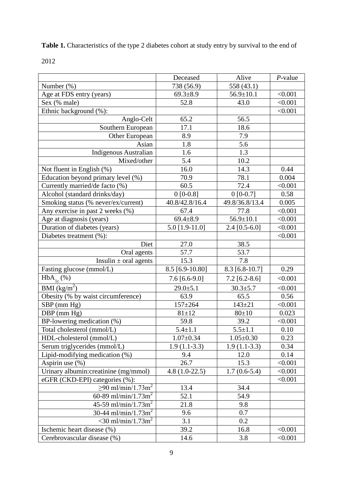**Table 1.** Characteristics of the type 2 diabetes cohort at study entry by survival to the end of

|                                       | Deceased         | Alive           | $P$ -value |
|---------------------------------------|------------------|-----------------|------------|
| Number $(\%)$                         | 738 (56.9)       | 558 (43.1)      |            |
| Age at FDS entry (years)              | $69.3 \pm 8.9$   | $56.9 \pm 10.1$ | < 0.001    |
| Sex (% male)                          | 52.8             | 43.0            | < 0.001    |
| Ethnic background (%):                |                  |                 | < 0.001    |
| Anglo-Celt                            | 65.2             | 56.5            |            |
| Southern European                     | 17.1             | 18.6            |            |
| <b>Other European</b>                 | 8.9              | 7.9             |            |
| Asian                                 | 1.8              | 5.6             |            |
| <b>Indigenous Australian</b>          | 1.6              | 1.3             |            |
| Mixed/other                           | 5.4              | 10.2            |            |
| Not fluent in English (%)             | 16.0             | 14.3            | 0.44       |
| Education beyond primary level (%)    | 70.9             | 78.1            | 0.004      |
| Currently married/de facto (%)        | 60.5             | 72.4            | < 0.001    |
| Alcohol (standard drinks/day)         | $0 [0-0.8]$      | $0$ [0-0.7]     | 0.58       |
| Smoking status (% never/ex/current)   | 40.8/42.8/16.4   | 49.8/36.8/13.4  | 0.005      |
| Any exercise in past 2 weeks (%)      | 67.4             | 77.8            | < 0.001    |
| Age at diagnosis (years)              | $69.4 \pm 8.9$   | $56.9 \pm 10.1$ | < 0.001    |
| Duration of diabetes (years)          | $5.0$ [1.9-11.0] | $2.4$ [0.5-6.0] | < 0.001    |
| Diabetes treatment (%):               |                  |                 | < 0.001    |
| Diet                                  | 27.0             | 38.5            |            |
| Oral agents                           | 57.7             | 53.7            |            |
| Insulin $\pm$ oral agents             | 15.3             | 7.8             |            |
| Fasting glucose (mmol/L)              | 8.5 [6.9-10.80]  | 8.3 [6.8-10.7]  | 0.29       |
| $HbA_{1c}(\%)$                        | $7.6$ [6.6-9.0]  | $7.2$ [6.2-8.6] | < 0.001    |
| $BMI$ (kg/m <sup>2</sup> )            | $29.0 \pm 5.1$   | $30.3 \pm 5.7$  | < 0.001    |
| Obesity (% by waist circumference)    | 63.9             | 65.5            | 0.56       |
| $SBP$ (mm $Hg$ )                      | $157 + 264$      | $143 + 21$      | < 0.001    |
| DBP (mm Hg)                           | $81 \pm 12$      | $80+10$         | 0.023      |
| BP-lowering medication (%)            | 59.8             | 39.2            | < 0.001    |
| Total cholesterol (mmol/L)            | $5.4 \pm 1.1$    | $5.5 \pm 1.1$   | 0.10       |
| HDL-cholesterol (mmol/L)              | $1.07 \pm 0.34$  | $1.05 \pm 0.30$ | 0.23       |
| Serum triglycerides (mmol/L)          | $1.9(1.1-3.3)$   | $1.9(1.1-3.3)$  | 0.34       |
| Lipid-modifying medication (%)        | 9.4              | 12.0            | 0.14       |
| Aspirin use (%)                       | 26.7             | 15.3            | < 0.001    |
| Urinary albumin: creatinine (mg/mmol) | $4.8(1.0-22.5)$  | $1.7(0.6-5.4)$  | < 0.001    |
| eGFR (CKD-EPI) categories (%):        |                  |                 | < 0.001    |
| $≥90$ ml/min/1.73m <sup>2</sup>       | 13.4             | 34.4            |            |
| 60-89 ml/min/1.73m <sup>2</sup>       | 52.1             | 54.9            |            |
| 45-59 ml/min/1.73m <sup>2</sup>       | 21.8             | 9.8             |            |
| 30-44 ml/min/1.73m <sup>2</sup>       | 9.6              | 0.7             |            |
| $<$ 30 ml/min/1.73m <sup>2</sup>      | 3.1              | 0.2             |            |
| Ischemic heart disease (%)            | 39.2             | 16.8            | < 0.001    |
| Cerebrovascular disease (%)           | 14.6             | 3.8             | < 0.001    |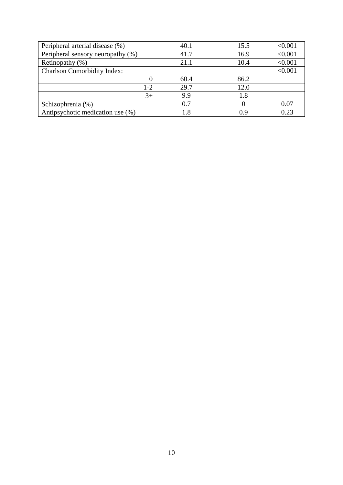| Peripheral arterial disease (%)    | 40.1 | 15.5 | < 0.001 |
|------------------------------------|------|------|---------|
| Peripheral sensory neuropathy (%)  | 41.7 | 16.9 | < 0.001 |
| Retinopathy $(\%)$                 | 21.1 | 10.4 | < 0.001 |
| <b>Charlson Comorbidity Index:</b> |      |      | < 0.001 |
|                                    | 60.4 | 86.2 |         |
| $1 - 2$                            | 29.7 | 12.0 |         |
| $3+$                               | 9.9  | 1.8  |         |
| Schizophrenia (%)                  | 0.7  |      | 0.07    |
| Antipsychotic medication use (%)   | 1.8  | 0 O  | 0.23    |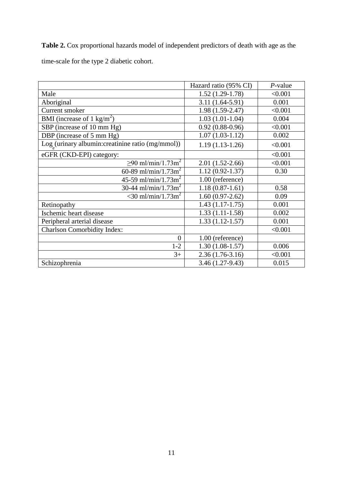**Table 2.** Cox proportional hazards model of independent predictors of death with age as the time-scale for the type 2 diabetic cohort.

|                                                   | Hazard ratio (95% CI) | $P$ -value |
|---------------------------------------------------|-----------------------|------------|
| Male                                              | $1.52(1.29-1.78)$     | < 0.001    |
| Aboriginal                                        | $3.11(1.64-5.91)$     | 0.001      |
| Current smoker                                    | $1.98(1.59-2.47)$     | < 0.001    |
| BMI (increase of 1 kg/m <sup>2</sup> )            | $1.03(1.01-1.04)$     | 0.004      |
| SBP (increase of 10 mm Hg)                        | $0.92(0.88-0.96)$     | < 0.001    |
| DBP (increase of 5 mm Hg)                         | $1.07(1.03-1.12)$     | 0.002      |
| Log (urinary albumin: creatinine ratio (mg/mmol)) | $1.19(1.13-1.26)$     | < 0.001    |
| eGFR (CKD-EPI) category:                          |                       | < 0.001    |
| $≥90$ ml/min/1.73m <sup>2</sup>                   | $2.01(1.52-2.66)$     | < 0.001    |
| 60-89 ml/min/1.73m <sup>2</sup>                   | $1.12(0.92 - 1.37)$   | 0.30       |
| 45-59 ml/min/1.73m <sup>2</sup>                   | 1.00 (reference)      |            |
| 30-44 ml/min/1.73m <sup>2</sup>                   | $1.18(0.87-1.61)$     | 0.58       |
| $<$ 30 ml/min/1.73m <sup>2</sup>                  | $1.60(0.97-2.62)$     | 0.09       |
| Retinopathy                                       | $1.43(1.17-1.75)$     | 0.001      |
| Ischemic heart disease                            | $1.33(1.11-1.58)$     | 0.002      |
| Peripheral arterial disease                       | $1.33(1.12 - 1.57)$   | 0.001      |
| <b>Charlson Comorbidity Index:</b>                |                       | < 0.001    |
| $\overline{0}$                                    | 1.00 (reference)      |            |
| $1 - 2$                                           | $1.30(1.08-1.57)$     | 0.006      |
| $3+$                                              | $2.36(1.76-3.16)$     | < 0.001    |
| Schizophrenia                                     | 3.46 (1.27-9.43)      | 0.015      |